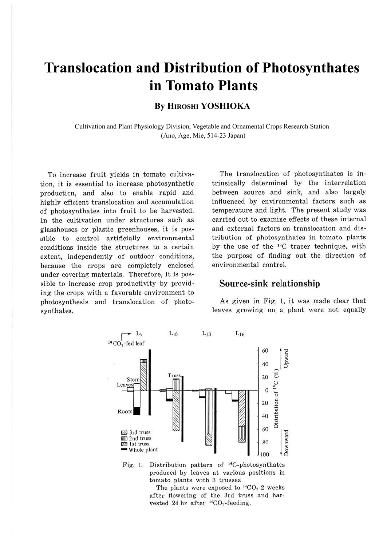# **Translocation and Distribution of Photosynthates in Tomato Plants**

### **By HIROSHI YOSHIOKA**

Cultivation and Plant Physiology Division, Vegetable and Ornamental Crops Research Station (Ano, Age, Mie, 514-23 Japan)

To increase fruit yields in tomato cultivation, it is essential to increase photosynthetic production, and also to enable rapid and highly efficient translocation and accumulation of photosynthates into fruit to be harvested. In the cultivation under structures such as glasshouses or plastic greenhouses, it is possible to control artificially environmental conditions inside the structures to a certain extent, independently of outdoor conditions, because the crops are completely enclosed under covering materials. Therefore, it is possible to increase crop productivity by providing the crops with a favorable environment to photosynthesis and translocation of photosynthates.

The translocation of photosynthates is intrinsically determined by the interrelation between source and sink, and also largely influenced by environmental factors such as temperature and light. The present study was carried out to examine effects of these internal and external factors on translocation and distribution of photosynthates in tomato plants by the use of the <sup>14</sup>C tracer technique, with the purpose of finding out the direction of environmental control.

#### **Source-sink relationship**

As given in Fig. l, it was made clear that leaves growing on a plant were not equally



Fig. 1. Distribution pattern of <sup>14</sup>C-photosynthates produced by leaves at various positions in tomato plants with 3 trusses

The plants were exposed to  $^{14}CO_2$  2 weeks after flowering of the 3rd truss and harvested 24 hr after  $^{14}CO_2$ -feeding.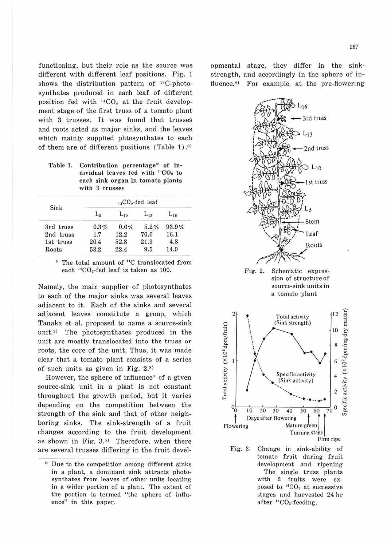functioning, but their role as the source was different with different leaf positions. Fig. 1 shows the distribution pattern of  $^{14}$ C-photosynthates produced in each leaf of different position fed with  $^{14}CO<sub>2</sub>$  at the fruit development stage of the first truss of a tomato plant with 3 trusses. It was found that trusses and roots acted as major sinks, and the leaves which mainly supplied phtosynthates to each of them are of different positions (Table 1).<sup>8)</sup>

**Table** 1. **Contribution percentage\* of individual leaves fed with "'CO, to each sink organ in tomato plants with 3 trusses** 

| Sink      | $_{14}CO_{2}$ -fed leaf |          |          |          |
|-----------|-------------------------|----------|----------|----------|
|           | Lg                      | $L_{10}$ | $L_{13}$ | $L_{16}$ |
| 3rd truss | 0.3%                    | 0.6%     | 5.2%     | 93.9%    |
| 2nd truss | 1.7                     | 12.2     | 70.0     | 16.1     |
| 1st truss | 20.4                    | 52.8     | 21.9     | 4.8      |
| Roots     | 53.2                    | 22.4     | 9.5      | 14.9     |

<sup>\*</sup> The total amount of <sup>14</sup>C translocated from each <sup>14</sup>CO<sub>2</sub>-fed leaf is taken as 100.

Namely, the main supplier of photosynthates to each of the major sinks was several leaves adjacent to it. Each of the sinks and several adjacent leaves constitute a group, which Tanaka et al. proposed to name a source-sink unit.<sup>2)</sup> The photosynthates produced in the unit are mostly translocated into the truss or roots, the core of the unit. Thus, it was made clear that a tomato plant consists of a series of such units as given in Fig. 2.<sup>8)</sup>

However, the sphere of influence\* of a given source-sink unit in a plant is not constant throughout the growth period, but it varies depending on the competition between the strength of the sink and that of other neighboring sinks. The sink-strength of a fruit changes according to the fruit development as shown in Fig.  $3.5$  Therefore, when there are several trusses differing in the fruit developmental stage, they differ in the sinkstrength, and accordingly in the sphere of influence.<sup>8)</sup> For example, at the pre-flowering



sion of structure of source-sink units in a tomato plant



Fig. 8. Change in sink-ability of tomato fruit during fruit development and ripening The single truss plants with 2 fruits were exposed to  ${}^{14}CO_2$  at successive stages and harvested 24 hr after <sup>14</sup>CO<sub>2</sub>-feeding.

<sup>~</sup>Due to the competition among different sinks in a plant, a dominant sink attracts photosynthates from leaves of other units locating in a wider portion of a plant. The extent of the portion is termed "the sphere of influence" in this paper.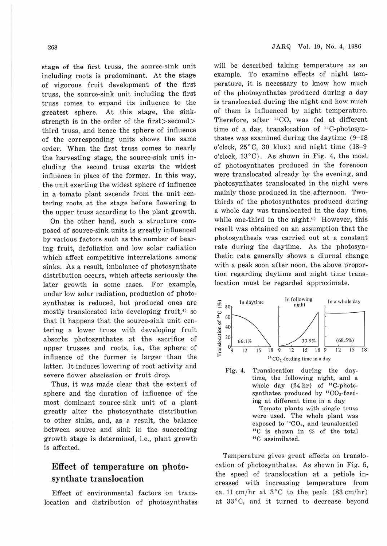stage of the first truss, the source-sink unit including roots is predominant. At the stage of vigorous fruit development of the first truss, the source-sink unit including the first truss comes to expand its influence to the greatest sphere. At this stage, the sinkstrength is in the order of the first>second> third truss, and hence the sphere of influence of the corresponding units shows the same order. When the first truss comes to nearly the harvesting stage, the source-sink unit including the second truss exerts the widest influence in place of the former. In this way, the unit exerting the widest sphere of influence in a tomato plant ascends from the unit centering roots at the stage before flowering to the upper truss according to the plant growth.

On the other hand, such a structure composed of source-sink units is greatly influenced by various factors such as the number of bearing fruit, defoliation and low solar radiation which affect competitive interrelations among sinks. As a result, imbalance of photosynthate distribution occurs, which affects seriously the later growth in some cases. For example, under low solar radiation, production of photosynthates is reduced, but produced ones are mostly translocated into developing fruit, $\binom{4}{3}$  so that it happens that the source-sink unit centering a lower truss with developing fruit absorbs photosynthates at the sacrifice of upper trusses and roots, i.e., the sphere of influence of the former is larger than the latter. It induces lowering of root activity and severe flower abscission or fruit drop.

Thus, it was made clear that the extent of sphere and the duration of influence of the most dominant source-sink unit of a plant greatly alter the photosynthate distribution to other sinks, and, as a result, the balance between source and sink in the succeeding growth stage is determined, i.e., plant growth is affected.

## **Effect of temperature on photosynthate translocation**

Effect of environmental factors on translocation and distribution of photosynthates will be described taking temperature as an example. To examine effects of night temperature, it is necessary to know how much of the photosynthates produced during a day is translocated during the night and how much of them is influenced by night temperature. Therefore, after  $14CO<sub>2</sub>$  was fed at different time of a day, translocation of <sup>14</sup>C-photosynthates was examined during the daytime (9-18 o'clock, 25°C, 30 klux) and night time (18-9 o'clock, 13°C). As shown in Fig. 4, the most of photosynthates produced in the forenoon were translocated already by the evening, and photosynthates translocated in the night were mainly those produced in the afternoon. Twothirds of the photosynthates produced during a whole day was translocated in the day time, while one-third in the night.<sup>6)</sup> However, this result was obtained on an assumption that the photosynthesis was carried out at a constant rate during the daytime. As the photosynthetic rate generally shows a diurnal change with a peak soon after noon, the above proportion regarding daytime and night time translocation must be regarded approximate.



time, the following night, and a whole day  $(24 hr)$  of <sup>14</sup>C-photosynthates produced by <sup>14</sup>CO<sub>2</sub>-feeding at different time in a day Tomato plants with single truss were used. The whole plant was exposed to  $^{14}CO_2$ , and translocated  $^{14}C$  is shown in % of the total <sup>14</sup>C assimilated.

Temperature gives great effects on translocation of photosynthates. As shown in Fig. 5, the speed of translocation at a petiole increased with increasing temperature from ca. 11 cm/hr at  $3^{\circ}$ C to the peak  $(83 \text{ cm/hr})$ at 33°C, and it turned to decrease beyond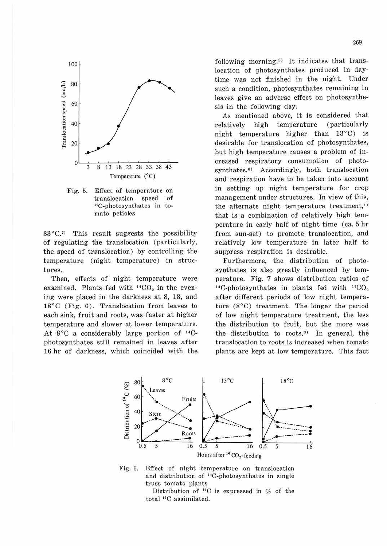

Fig. 5. Effect of temperature on translocation speed of <sup>14</sup>C-photosynthates in tomato petioles

 $33^{\circ}$ C.<sup>7</sup>) This result suggests the possibility of regulating the translocation (particularly, the speed of translocation) by controlling the temperature (night temperature) in structures.

Then, effects of night temperature were examined. Plants fed with <sup>14</sup>CO<sub>2</sub> in the evening were placed in the darkness at 8, 13, and  $18^{\circ}$ C (Fig. 6). Translocation from leaves to each sink, fruit and roots, was faster at higher temperature and slower at lower temperature. At 8°C a considerably large portion of <sup>14</sup>Cphotosynthates still remained in leaves after 16 hr of darkness, which coincided with the following morning.<sup>3)</sup> It indicates that translocation of photosynthates produced in daytime was not finished in the night. Under such a condition, photosynthates remaining in leaves give an adverse effect on photosynthesis in the following day.

As mentioned above, it is considered that high temperature (particularly relatively night temperature higher than 13°C) is desirable for translocation of photosynthates, but high temperature causes a problem of increased respiratory consumption of photosynthates.<sup>6)</sup> Accordingly, both translocation and respiration have to be taken into account in setting up night temperature for crop management under structures. In view of this, the alternate night temperature treatment,<sup>1)</sup> that is a combination of relatively high temperature in early half of night time (ca. 5 hr from sun-set) to promote translocation, and relatively low temperature in later half to suppress respiration is desirable.

Furthermore, the distribution of photosynthates is also greatly influenced by temperature. Fig. 7 shows distribution ratios of <sup>14</sup>C-photosynthates in plants fed with  $^{14}CO<sub>2</sub>$ after different periods of low night temperature  $(8^{\circ}$ C) treatment. The longer the period of low night temperature treatment, the less the distribution to fruit, but the more was the distribution to roots.<sup>6)</sup> In general, the translocation to roots is increased when tomato plants are kept at low temperature. This fact



Effect of night temperature on translocation Fig. 6. and distribution of <sup>14</sup>C-photosynthates in single truss tomato plants

Distribution of  $^{14}C$  is expressed in % of the total <sup>14</sup>C assimilated.